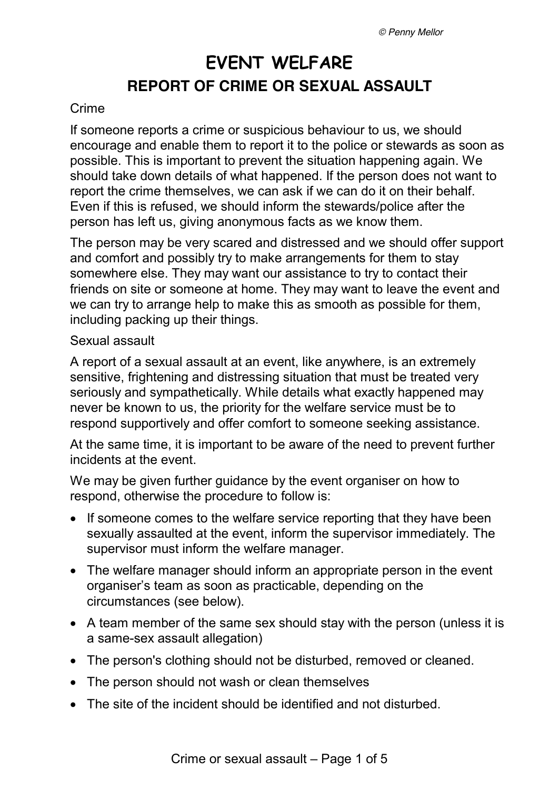# **EVENT WELFARE REPORT OF CRIME OR SEXUAL ASSAULT**

#### Crime

If someone reports a crime or suspicious behaviour to us, we should encourage and enable them to report it to the police or stewards as soon as possible. This is important to prevent the situation happening again. We should take down details of what happened. If the person does not want to report the crime themselves, we can ask if we can do it on their behalf. Even if this is refused, we should inform the stewards/police after the person has left us, giving anonymous facts as we know them.

The person may be very scared and distressed and we should offer support and comfort and possibly try to make arrangements for them to stay somewhere else. They may want our assistance to try to contact their friends on site or someone at home. They may want to leave the event and we can try to arrange help to make this as smooth as possible for them, including packing up their things.

#### Sexual assault

A report of a sexual assault at an event, like anywhere, is an extremely sensitive, frightening and distressing situation that must be treated very seriously and sympathetically. While details what exactly happened may never be known to us, the priority for the welfare service must be to respond supportively and offer comfort to someone seeking assistance.

At the same time, it is important to be aware of the need to prevent further incidents at the event.

We may be given further guidance by the event organiser on how to respond, otherwise the procedure to follow is:

- If someone comes to the welfare service reporting that they have been sexually assaulted at the event, inform the supervisor immediately. The supervisor must inform the welfare manager.
- The welfare manager should inform an appropriate person in the event organiser's team as soon as practicable, depending on the circumstances (see below).
- A team member of the same sex should stay with the person (unless it is a same-sex assault allegation)
- The person's clothing should not be disturbed, removed or cleaned.
- The person should not wash or clean themselves
- The site of the incident should be identified and not disturbed.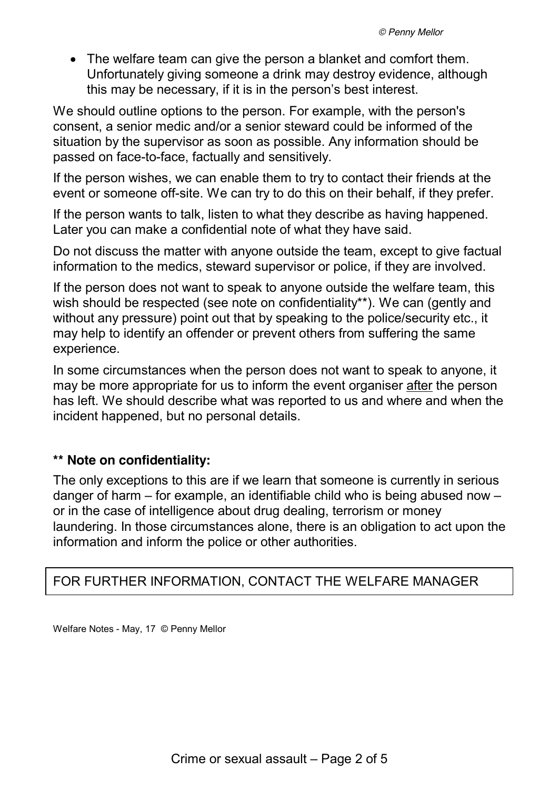• The welfare team can give the person a blanket and comfort them. Unfortunately giving someone a drink may destroy evidence, although this may be necessary, if it is in the person's best interest.

We should outline options to the person. For example, with the person's consent, a senior medic and/or a senior steward could be informed of the situation by the supervisor as soon as possible. Any information should be passed on face-to-face, factually and sensitively.

If the person wishes, we can enable them to try to contact their friends at the event or someone off-site. We can try to do this on their behalf, if they prefer.

If the person wants to talk, listen to what they describe as having happened. Later you can make a confidential note of what they have said.

Do not discuss the matter with anyone outside the team, except to give factual information to the medics, steward supervisor or police, if they are involved.

If the person does not want to speak to anyone outside the welfare team, this wish should be respected (see note on confidentiality\*\*). We can (gently and without any pressure) point out that by speaking to the police/security etc., it may help to identify an offender or prevent others from suffering the same experience.

In some circumstances when the person does not want to speak to anyone, it may be more appropriate for us to inform the event organiser after the person has left. We should describe what was reported to us and where and when the incident happened, but no personal details.

## **\*\* Note on confidentiality:**

The only exceptions to this are if we learn that someone is currently in serious danger of harm – for example, an identifiable child who is being abused now – or in the case of intelligence about drug dealing, terrorism or money laundering. In those circumstances alone, there is an obligation to act upon the information and inform the police or other authorities.

# FOR FURTHER INFORMATION, CONTACT THE WELFARE MANAGER

Welfare Notes - May, 17 © Penny Mellor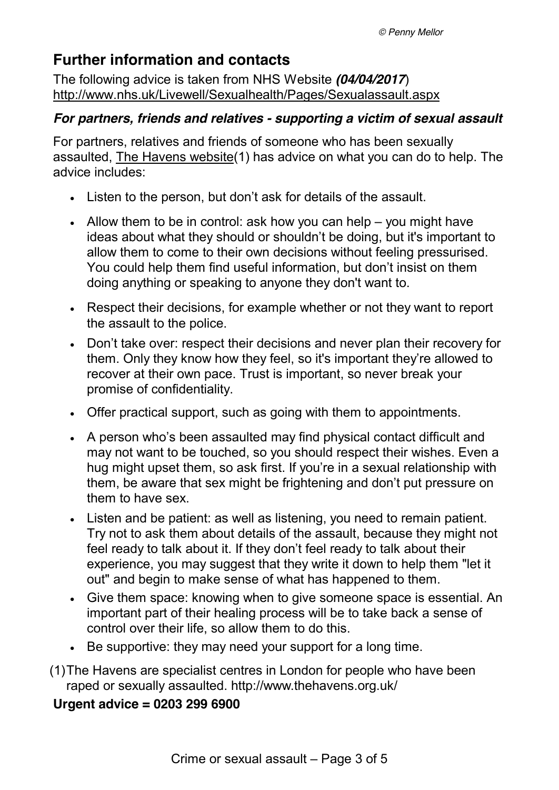# **Further information and contacts**

The following advice is taken from NHS Website *(04/04/2017*) <http://www.nhs.uk/Livewell/Sexualhealth/Pages/Sexualassault.aspx>

# *For partners, friends and relatives - supporting a victim of sexual assault*

For partners, relatives and friends of someone who has been sexually assaulted, [The Havens website\(](http://www.thehavens.co.uk/)1) has advice on what you can do to help. The advice includes:

- Listen to the person, but don't ask for details of the assault.
- $\bullet$  Allow them to be in control: ask how you can help you might have ideas about what they should or shouldn't be doing, but it's important to allow them to come to their own decisions without feeling pressurised. You could help them find useful information, but don't insist on them doing anything or speaking to anyone they don't want to.
- Respect their decisions, for example whether or not they want to report the assault to the police.
- Don't take over: respect their decisions and never plan their recovery for them. Only they know how they feel, so it's important they're allowed to recover at their own pace. Trust is important, so never break your promise of confidentiality.
- Offer practical support, such as going with them to appointments.
- A person who's been assaulted may find physical contact difficult and may not want to be touched, so you should respect their wishes. Even a hug might upset them, so ask first. If you're in a sexual relationship with them, be aware that sex might be frightening and don't put pressure on them to have sex.
- Listen and be patient: as well as listening, you need to remain patient. Try not to ask them about details of the assault, because they might not feel ready to talk about it. If they don't feel ready to talk about their experience, you may suggest that they write it down to help them "let it out" and begin to make sense of what has happened to them.
- Give them space: knowing when to give someone space is essential. An important part of their healing process will be to take back a sense of control over their life, so allow them to do this.
- Be supportive: they may need your support for a long time.
- (1)The Havens are specialist centres in London for people who have been raped or sexually assaulted.<http://www.thehavens.org.uk/>

# **Urgent advice = 0203 299 6900**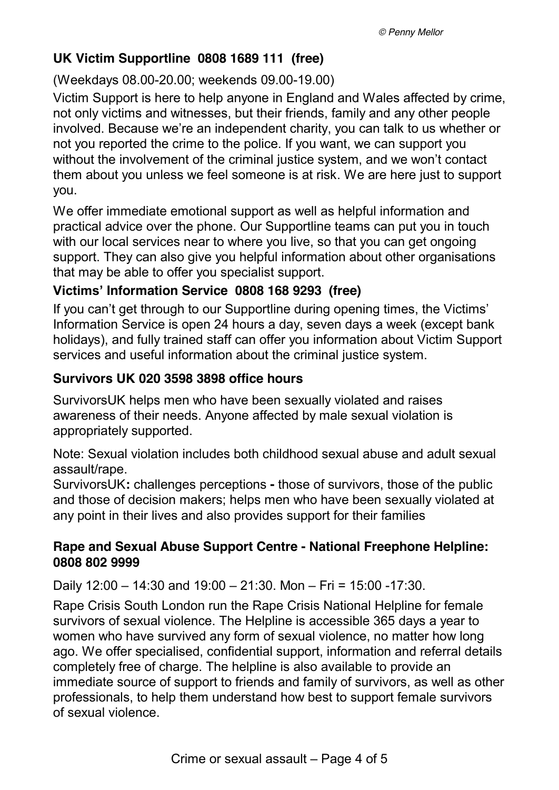# **UK Victim Supportline 0808 1689 111 (free)**

(Weekdays 08.00-20.00; weekends 09.00-19.00)

Victim Support is here to help anyone in England and Wales affected by crime, not only victims and witnesses, but their friends, family and any other people involved. Because we're an independent charity, you can talk to us whether or not you reported the crime to the police. If you want, we can support you without the involvement of the criminal justice system, and we won't contact them about you unless we feel someone is at risk. We are here just to support you.

We offer immediate emotional support as well as helpful information and practical advice over the phone. Our Supportline teams can put you in touch with our local services near to where you live, so that you can get ongoing support. They can also give you helpful information about other organisations that may be able to offer you specialist support.

# **Victims' Information Service 0808 168 9293 (free)**

If you can't get through to our Supportline during opening times, the [Victims'](https://www.victimsupport.org.uk/help-and-support/get-help/victims-information-service)  [Information Service](https://www.victimsupport.org.uk/help-and-support/get-help/victims-information-service) is open 24 hours a day, seven days a week (except bank holidays), and fully trained staff can offer you information about Victim Support services and useful information about the criminal justice system.

# **Survivors UK 020 3598 3898 office hours**

SurvivorsUK helps men who have been sexually violated and raises awareness of their needs. Anyone affected by male sexual violation is appropriately supported.

Note: Sexual violation includes both childhood sexual abuse and adult sexual assault/rape.

SurvivorsUK**:** challenges perceptions **-** those of survivors, those of the public and those of decision makers; helps men who have been sexually violated at any point in their lives and also provides support for their families

# **Rape and Sexual Abuse Support Centre - National Freephone Helpline: [0808 802 9999](tel:08088029999)**

Daily 12:00 – 14:30 and 19:00 – 21:30. Mon – Fri = 15:00 -17:30.

Rape Crisis South London run the Rape Crisis National Helpline for female survivors of sexual violence. The Helpline is accessible 365 days a year to women who have survived any form of sexual violence, no matter how long ago. We offer specialised, confidential support, information and referral details completely free of charge. The helpline is also available to provide an immediate source of support to friends and family of survivors, as well as other professionals, to help them understand how best to support female survivors of sexual violence.